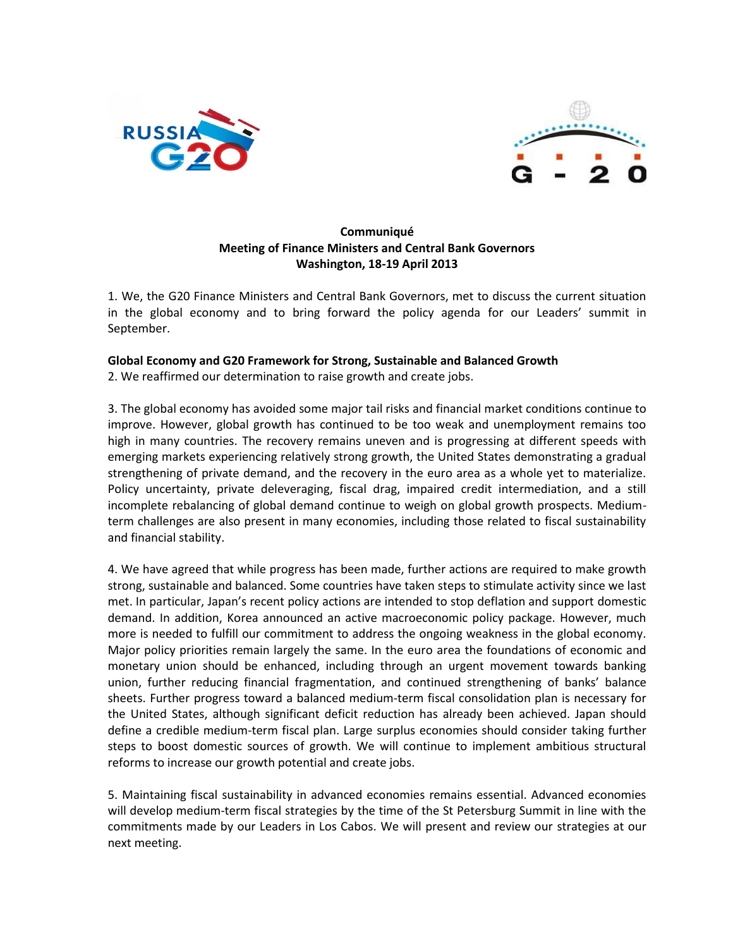



# **Communiqué Meeting of Finance Ministers and Central Bank Governors Washington, 18-19 April 2013**

1. We, the G20 Finance Ministers and Central Bank Governors, met to discuss the current situation in the global economy and to bring forward the policy agenda for our Leaders' summit in September.

# **Global Economy and G20 Framework for Strong, Sustainable and Balanced Growth**

2. We reaffirmed our determination to raise growth and create jobs.

3. The global economy has avoided some major tail risks and financial market conditions continue to improve. However, global growth has continued to be too weak and unemployment remains too high in many countries. The recovery remains uneven and is progressing at different speeds with emerging markets experiencing relatively strong growth, the United States demonstrating a gradual strengthening of private demand, and the recovery in the euro area as a whole yet to materialize. Policy uncertainty, private deleveraging, fiscal drag, impaired credit intermediation, and a still incomplete rebalancing of global demand continue to weigh on global growth prospects. Mediumterm challenges are also present in many economies, including those related to fiscal sustainability and financial stability.

4. We have agreed that while progress has been made, further actions are required to make growth strong, sustainable and balanced. Some countries have taken steps to stimulate activity since we last met. In particular, Japan's recent policy actions are intended to stop deflation and support domestic demand. In addition, Korea announced an active macroeconomic policy package. However, much more is needed to fulfill our commitment to address the ongoing weakness in the global economy. Major policy priorities remain largely the same. In the euro area the foundations of economic and monetary union should be enhanced, including through an urgent movement towards banking union, further reducing financial fragmentation, and continued strengthening of banks' balance sheets. Further progress toward a balanced medium-term fiscal consolidation plan is necessary for the United States, although significant deficit reduction has already been achieved. Japan should define a credible medium-term fiscal plan. Large surplus economies should consider taking further steps to boost domestic sources of growth. We will continue to implement ambitious structural reforms to increase our growth potential and create jobs.

5. Maintaining fiscal sustainability in advanced economies remains essential. Advanced economies will develop medium-term fiscal strategies by the time of the St Petersburg Summit in line with the commitments made by our Leaders in Los Cabos. We will present and review our strategies at our next meeting.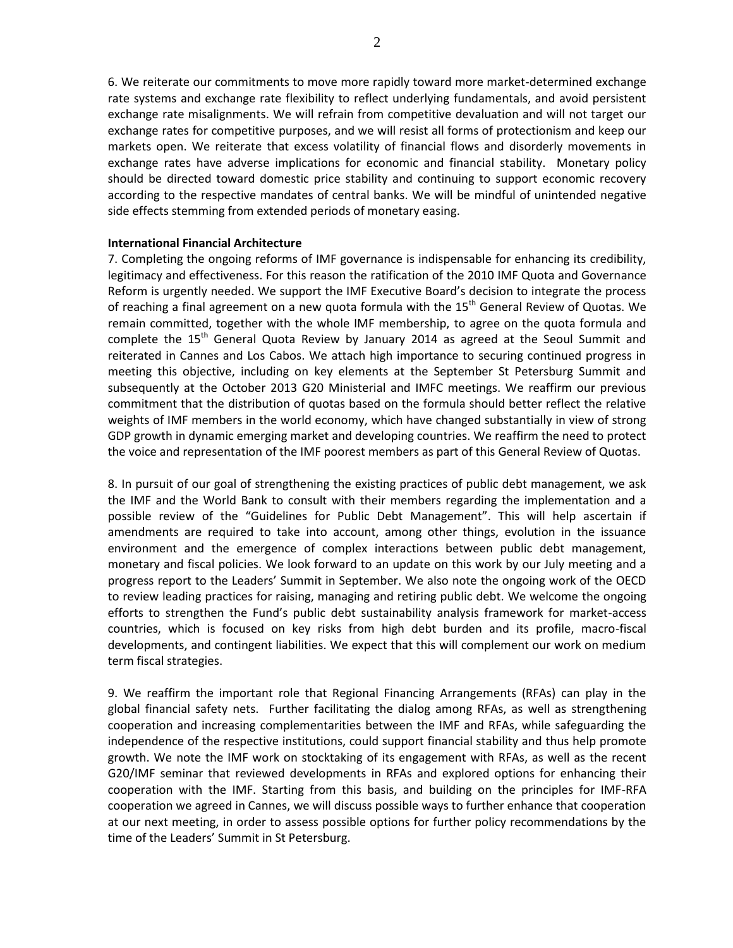6. We reiterate our commitments to move more rapidly toward more market-determined exchange rate systems and exchange rate flexibility to reflect underlying fundamentals, and avoid persistent exchange rate misalignments. We will refrain from competitive devaluation and will not target our exchange rates for competitive purposes, and we will resist all forms of protectionism and keep our markets open. We reiterate that excess volatility of financial flows and disorderly movements in exchange rates have adverse implications for economic and financial stability. Monetary policy should be directed toward domestic price stability and continuing to support economic recovery according to the respective mandates of central banks. We will be mindful of unintended negative side effects stemming from extended periods of monetary easing.

## **International Financial Architecture**

7. Completing the ongoing reforms of IMF governance is indispensable for enhancing its credibility, legitimacy and effectiveness. For this reason the ratification of the 2010 IMF Quota and Governance Reform is urgently needed. We support the IMF Executive Board's decision to integrate the process of reaching a final agreement on a new quota formula with the 15<sup>th</sup> General Review of Quotas. We remain committed, together with the whole IMF membership, to agree on the quota formula and complete the  $15<sup>th</sup>$  General Quota Review by January 2014 as agreed at the Seoul Summit and reiterated in Cannes and Los Cabos. We attach high importance to securing continued progress in meeting this objective, including on key elements at the September St Petersburg Summit and subsequently at the October 2013 G20 Ministerial and IMFC meetings. We reaffirm our previous commitment that the distribution of quotas based on the formula should better reflect the relative weights of IMF members in the world economy, which have changed substantially in view of strong GDP growth in dynamic emerging market and developing countries. We reaffirm the need to protect the voice and representation of the IMF poorest members as part of this General Review of Quotas.

8. In pursuit of our goal of strengthening the existing practices of public debt management, we ask the IMF and the World Bank to consult with their members regarding the implementation and a possible review of the "Guidelines for Public Debt Management". This will help ascertain if amendments are required to take into account, among other things, evolution in the issuance environment and the emergence of complex interactions between public debt management, monetary and fiscal policies. We look forward to an update on this work by our July meeting and a progress report to the Leaders' Summit in September. We also note the ongoing work of the OECD to review leading practices for raising, managing and retiring public debt. We welcome the ongoing efforts to strengthen the Fund's public debt sustainability analysis framework for market-access countries, which is focused on key risks from high debt burden and its profile, macro-fiscal developments, and contingent liabilities. We expect that this will complement our work on medium term fiscal strategies.

9. We reaffirm the important role that Regional Financing Arrangements (RFAs) can play in the global financial safety nets. Further facilitating the dialog among RFAs, as well as strengthening cooperation and increasing complementarities between the IMF and RFAs, while safeguarding the independence of the respective institutions, could support financial stability and thus help promote growth. We note the IMF work on stocktaking of its engagement with RFAs, as well as the recent G20/IMF seminar that reviewed developments in RFAs and explored options for enhancing their cooperation with the IMF. Starting from this basis, and building on the principles for IMF-RFA cooperation we agreed in Cannes, we will discuss possible ways to further enhance that cooperation at our next meeting, in order to assess possible options for further policy recommendations by the time of the Leaders' Summit in St Petersburg.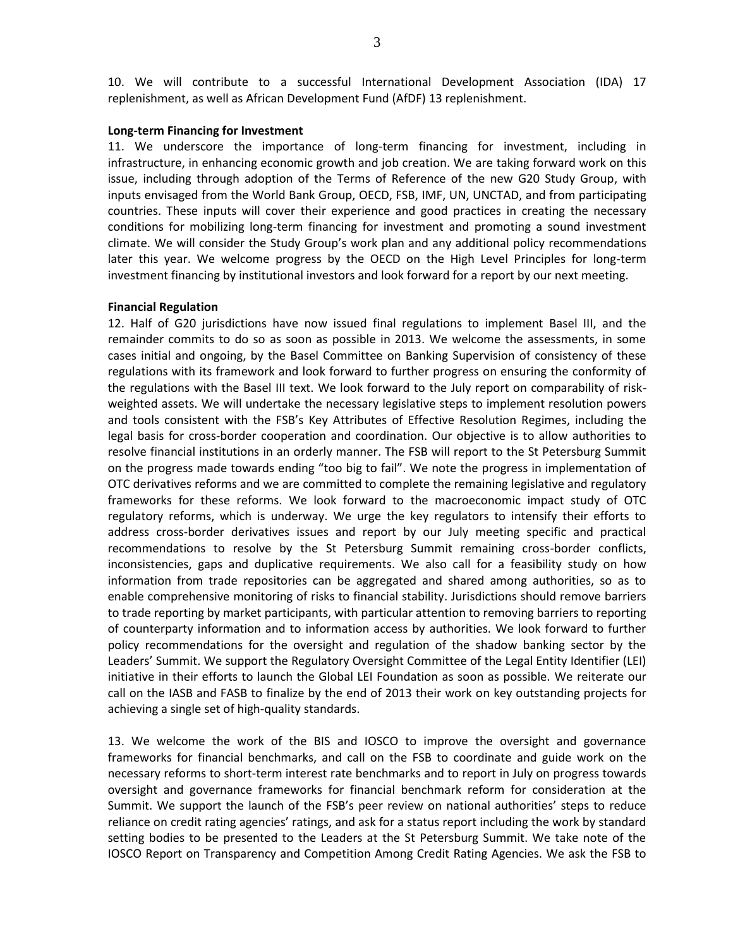10. We will contribute to a successful International Development Association (IDA) 17 replenishment, as well as African Development Fund (AfDF) 13 replenishment.

#### **Long-term Financing for Investment**

11. We underscore the importance of long-term financing for investment, including in infrastructure, in enhancing economic growth and job creation. We are taking forward work on this issue, including through adoption of the Terms of Reference of the new G20 Study Group, with inputs envisaged from the World Bank Group, OECD, FSB, IMF, UN, UNCTAD, and from participating countries. These inputs will cover their experience and good practices in creating the necessary conditions for mobilizing long-term financing for investment and promoting a sound investment climate. We will consider the Study Group's work plan and any additional policy recommendations later this year. We welcome progress by the OECD on the High Level Principles for long-term investment financing by institutional investors and look forward for a report by our next meeting.

#### **Financial Regulation**

12. Half of G20 jurisdictions have now issued final regulations to implement Basel III, and the remainder commits to do so as soon as possible in 2013. We welcome the assessments, in some cases initial and ongoing, by the Basel Committee on Banking Supervision of consistency of these regulations with its framework and look forward to further progress on ensuring the conformity of the regulations with the Basel III text. We look forward to the July report on comparability of riskweighted assets. We will undertake the necessary legislative steps to implement resolution powers and tools consistent with the FSB's Key Attributes of Effective Resolution Regimes, including the legal basis for cross-border cooperation and coordination. Our objective is to allow authorities to resolve financial institutions in an orderly manner. The FSB will report to the St Petersburg Summit on the progress made towards ending "too big to fail". We note the progress in implementation of OTC derivatives reforms and we are committed to complete the remaining legislative and regulatory frameworks for these reforms. We look forward to the macroeconomic impact study of OTC regulatory reforms, which is underway. We urge the key regulators to intensify their efforts to address cross-border derivatives issues and report by our July meeting specific and practical recommendations to resolve by the St Petersburg Summit remaining cross-border conflicts, inconsistencies, gaps and duplicative requirements. We also call for a feasibility study on how information from trade repositories can be aggregated and shared among authorities, so as to enable comprehensive monitoring of risks to financial stability. Jurisdictions should remove barriers to trade reporting by market participants, with particular attention to removing barriers to reporting of counterparty information and to information access by authorities. We look forward to further policy recommendations for the oversight and regulation of the shadow banking sector by the Leaders' Summit. We support the Regulatory Oversight Committee of the Legal Entity Identifier (LEI) initiative in their efforts to launch the Global LEI Foundation as soon as possible. We reiterate our call on the IASB and FASB to finalize by the end of 2013 their work on key outstanding projects for achieving a single set of high-quality standards.

13. We welcome the work of the BIS and IOSCO to improve the oversight and governance frameworks for financial benchmarks, and call on the FSB to coordinate and guide work on the necessary reforms to short-term interest rate benchmarks and to report in July on progress towards oversight and governance frameworks for financial benchmark reform for consideration at the Summit. We support the launch of the FSB's peer review on national authorities' steps to reduce reliance on credit rating agencies' ratings, and ask for a status report including the work by standard setting bodies to be presented to the Leaders at the St Petersburg Summit. We take note of the IOSCO Report on Transparency and Competition Among Credit Rating Agencies. We ask the FSB to